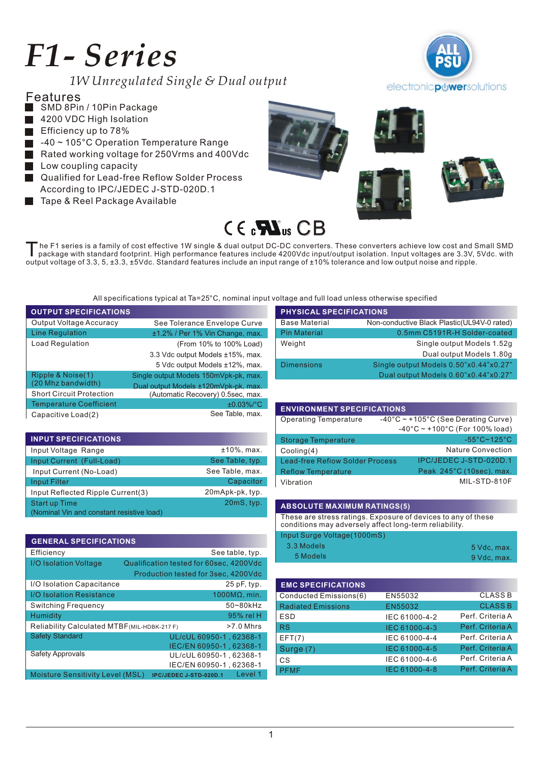# *F1- Series*

*1W Unregulated Single & Dual output*











he F1 series is a family of cost effective 1W single & dual output DC-DC converters. These converters achieve low cost and Small SMD<br>package with standard footprint. High performance features include 4200Vdc input/output i output voltage of 3.3, 5, ±3.3, ±5Vdc. Standard features include an input range of ±10% tolerance and low output noise and ripple.

All specifications typical at Ta=25°C, nominal input voltage and full load unless otherwise specified

| <b>OUTPUT SPECIFICATIONS</b>    |                                       |
|---------------------------------|---------------------------------------|
| Output Voltage Accuracy         | See Tolerance Envelope Curve          |
| Line Regulation                 | ±1.2% / Per 1% Vin Change, max.       |
| <b>Load Regulation</b>          | (From 10% to 100% Load)               |
|                                 | 3.3 Vdc output Models ±15%, max.      |
|                                 | 5 Vdc output Models ±12%, max.        |
| Ripple & Noise(1)               | Single output Models 150mVpk-pk, max. |
| (20 Mhz bandwidth)              | Dual output Models ±120mVpk-pk, max.  |
| <b>Short Circuit Protection</b> | (Automatic Recovery) 0.5sec, max.     |
| <b>Temperature Coefficient</b>  | $±0.03\%/°C$                          |
| Capacitive Load(2)              | See Table, max.                       |

| <b>INPUT SPECIFICATIONS</b>                                       |                 |
|-------------------------------------------------------------------|-----------------|
| Input Voltage Range                                               | $±10\%$ , max.  |
| Input Current (Full-Load)                                         | See Table, typ. |
| Input Current (No-Load)                                           | See Table, max. |
| <b>Input Filter</b>                                               | Capacitor       |
| Input Reflected Ripple Current(3)                                 | 20mApk-pk, typ. |
| <b>Start up Time</b><br>(Nominal Vin and constant resistive load) | 20mS, typ.      |

| <b>GENERAL SPECIFICATIONS</b>                               |                                         |  |  |  |
|-------------------------------------------------------------|-----------------------------------------|--|--|--|
| Efficiency                                                  | See table, typ.                         |  |  |  |
| I/O Isolation Voltage                                       | Qualification tested for 60sec, 4200Vdc |  |  |  |
|                                                             | Production tested for 3sec, 4200Vdc     |  |  |  |
| I/O Isolation Capacitance                                   | $25$ pF, typ.                           |  |  |  |
| <b>I/O Isolation Resistance</b>                             | $1000M$ a min.                          |  |  |  |
| Switching Frequency                                         | 50~80kHz                                |  |  |  |
| Humidity                                                    | 95% rel H                               |  |  |  |
| Reliability Calculated MTBF (MIL-HDBK-217 F)<br>$>7.0$ Mhrs |                                         |  |  |  |
| <b>Safety Standard</b>                                      | UL/cUL 60950-1, 62368-1                 |  |  |  |
|                                                             | IEC/EN 60950-1, 62368-1                 |  |  |  |
| <b>Safety Approvals</b>                                     | UL/cUL 60950-1, 62368-1                 |  |  |  |
|                                                             | IEC/EN 60950-1, 62368-1                 |  |  |  |
| <b>Moisture Sensitivity Level (MSL)</b>                     | Level 1<br>IPC/JEDEC J-STD-020D.1       |  |  |  |

| <b>PHYSICAL SPECIFICATIONS</b> |                                              |  |  |  |
|--------------------------------|----------------------------------------------|--|--|--|
| <b>Base Material</b>           | Non-conductive Black Plastic (UL94V-0 rated) |  |  |  |
| <b>Pin Material</b>            | 0.5mm C5191R-H Solder-coated                 |  |  |  |
| Weight                         | Single output Models 1.52g                   |  |  |  |
|                                | Dual output Models 1.80g                     |  |  |  |
| <b>Dimensions</b>              | Single output Models 0.50"x0.44"x0.27"       |  |  |  |
|                                | Dual output Models 0.60"x0.44"x0.27"         |  |  |  |

| <b>ENVIRONMENT SPECIFICATIONS</b>      |                                                     |  |  |
|----------------------------------------|-----------------------------------------------------|--|--|
| <b>Operating Temperature</b>           | $-40^{\circ}$ C ~ +105°C (See Derating Curve)       |  |  |
|                                        | $-40^{\circ}$ C ~ +100 $^{\circ}$ C (For 100% load) |  |  |
| <b>Storage Temperature</b>             | $-55^{\circ}$ C~125 $^{\circ}$ C                    |  |  |
| Cooling(4)                             | <b>Nature Convection</b>                            |  |  |
| <b>Lead-free Refiow Solder Process</b> | IPC/JEDEC J-STD-020D.1                              |  |  |
| <b>Reflow Temperature</b>              | Peak 245°C (10sec), max.                            |  |  |
| Vibration                              | MIL-STD-810F                                        |  |  |

#### **ABSOLUTE MAXIMUM RATINGS(5)**

These are stress ratings. Exposure of devices to any of these conditions may adversely affect long-term reliability.

| Input Surge Voltage(1000mS) |             |
|-----------------------------|-------------|
| 3.3 Models                  | 5 Vdc. max. |
| 5 Models                    | 9 Vdc. max. |

| <b>EMC SPECIFICATIONS</b> |               |                  |
|---------------------------|---------------|------------------|
| Conducted Emissions(6)    | EN55032       | <b>CLASS B</b>   |
| <b>Radiated Emissions</b> | EN55032       | <b>CLASS B</b>   |
| <b>ESD</b>                | IEC 61000-4-2 | Perf. Criteria A |
| <b>RS</b>                 | IEC 61000-4-3 | Perf. Criteria A |
| EFT(7)                    | IEC 61000-4-4 | Perf. Criteria A |
| Surge (7)                 | IEC 61000-4-5 | Perf. Criteria A |
| CS                        | IEC 61000-4-6 | Perf. Criteria A |
| <b>PFMF</b>               | IEC 61000-4-8 | Perf. Criteria A |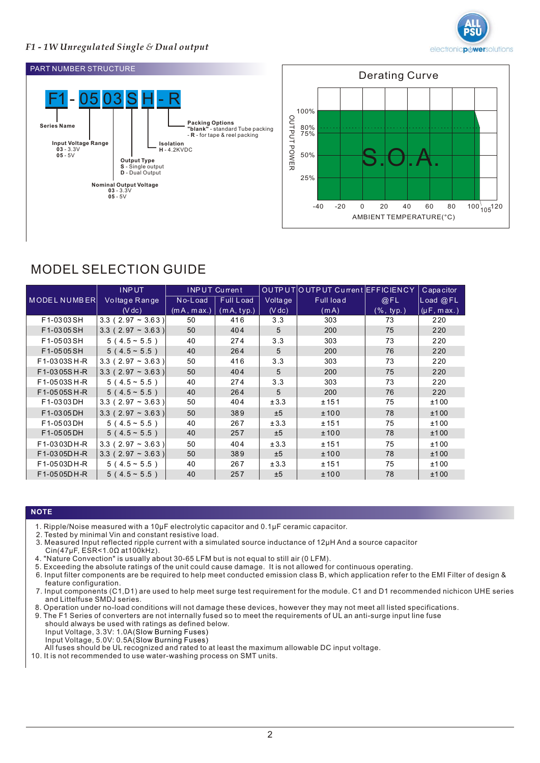

# *F1 - 1W Unregulated Single & Dual output*





# MODEL SELECTION GUIDE

|                     | <b>INPUT</b>        |            | <b>INPUT Current</b> |         | OUTP UT OUTP UT Current EFFICIENCY |                       | Capacitor       |
|---------------------|---------------------|------------|----------------------|---------|------------------------------------|-----------------------|-----------------|
| <b>MODEL NUMBER</b> | Voltage Range       | No-Load    | Full Load            | Voltage | Full load                          | @FL                   | Load @FL        |
|                     | $(V \, dc)$         | (mA, max.) | (mA, typ.)           | (V dc)  | (mA)                               | $(\% , \text{ typ.})$ | $(\mu F, max.)$ |
| F1-0303SH           | $3.3$ (2.97 ~ 3.63) | 50         | 416                  | 3.3     | 303                                | 73                    | 220             |
| F1-0305SH           | $3.3$ (2.97 ~ 3.63) | 50         | 404                  | 5       | 200                                | 75                    | 220             |
| F1-0503SH           | $5(4.5 \sim 5.5)$   | 40         | 274                  | 3.3     | 303                                | 73                    | 220             |
| F1-0505SH           | $5(4.5 \sim 5.5)$   | 40         | 264                  | 5       | 200                                | 76                    | 220             |
| F1-0303SH-R         | 3.3 (2.97 ~ 3.63)   | 50         | 416                  | 3.3     | 303                                | 73                    | 220             |
| F1-0305SH-R         | $3.3$ (2.97 ~ 3.63) | 50         | 404                  | 5       | 200                                | 75                    | 220             |
| F1-0503SH-R         | $5(4.5 \sim 5.5)$   | 40         | 274                  | 3.3     | 303                                | 73                    | 220             |
| F1-0505SH-R         | $5(4.5 \sim 5.5)$   | 40         | 264                  | 5       | 200                                | 76                    | 220             |
| F1-0303DH           | $3.3$ (2.97 ~ 3.63) | 50         | 404                  | ±3.3    | ±151                               | 75                    | ±100            |
| F1-0305DH           | $3.3$ (2.97 ~ 3.63) | 50         | 389                  | ±5      | ±100                               | 78                    | ±100            |
| F1-0503DH           | $5(4.5 \sim 5.5)$   | 40         | 267                  | ±3.3    | ± 151                              | 75                    | ±100            |
| F1-0505DH           | $5(4.5 - 5.5)$      | 40         | 257                  | ±5      | ±100                               | 78                    | ±100            |
| F1-0303DH-R         | $3.3$ (2.97 ~ 3.63) | 50         | 404                  | ±3.3    | ± 151                              | 75                    | ±100            |
| F1-0305DH-R         | $3.3$ (2.97 ~ 3.63) | 50         | 389                  | ±5      | ±100                               | 78                    | ±100            |
| F1-0503DH-R         | $5(4.5 - 5.5)$      | 40         | 267                  | ±3.3    | ± 151                              | 75                    | ±100            |
| F1-0505DH-R         | $5(4.5 \sim 5.5)$   | 40         | 257                  | ±5      | ±100                               | 78                    | ±100            |

#### **NOTE**

- 1. Ripple/Noise measured with a 10μF electrolytic capacitor and 0.1μF ceramic capacitor.
- 2. Tested by minimal Vin and constant resistive load.
- 3. Measured Input reflected ripple current with a simulated source inductance of 12μH And a source capacitor  $Cin(47\mu\text{F}, \text{ESR} < 1.0\Omega \text{ at } 100\text{kHz}).$
- 4. "Nature Convection" is usually about 30-65 LFM but is not equal to still air (0 LFM).
- 5. Exceeding the absolute ratings of the unit could cause damage. It is not allowed for continuous operating.
- 6 Input filter components are be required to help meet conducted emission class B, which application refer to the EMI Filter of design & . feature configuration.
- 7. Input components (C1,D1) are used to help meet surge test requirement for the module. C1 and D1 recommended nichicon UHE series and Littelfuse SMDJ series.
- 8. Operation under no-load conditions will not damage these devices, however they may not meet all listed specifications.
- 9. The F1 Series of converters are not internally fused so to meet the requirements of UL an anti-surge input line fuse
- should always be used with ratings as defined below. Input Voltage, 3.3V: 1.0A( Slow Burning Fuses)
- Input Voltage, 5.0V: 0.5A( Slow Burning Fuses)
- All fuses should be UL recognized and rated to at least the maximum allowable DC input voltage.
- 10. It is not recommended to use water-washing process on SMT units.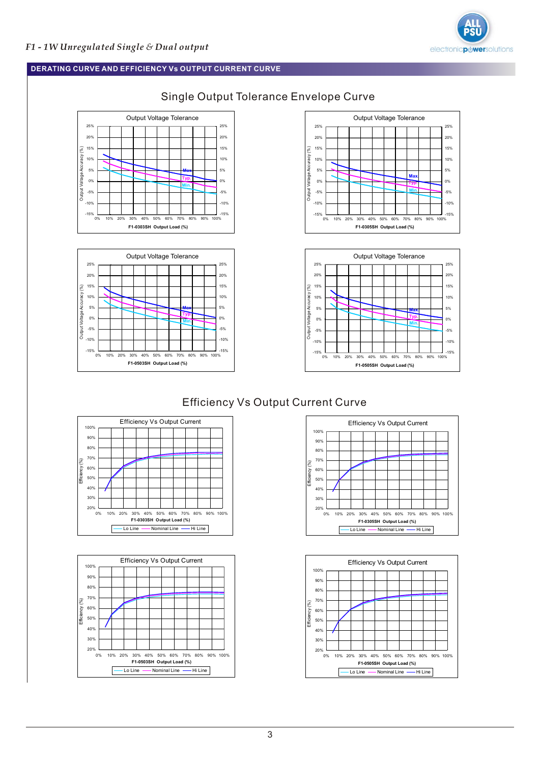

### **DERATING CURVE AND EFFICIENCY Vs OUTPUT CURRENT CURVE**











# Efficiency Vs Output Current Curve







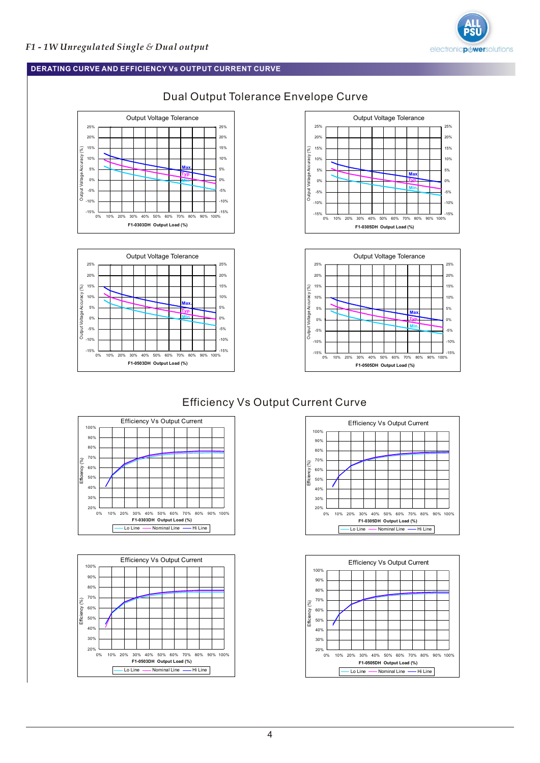

#### **DERATING CURVE AND EFFICIENCY Vs OUTPUT CURRENT CURVE**











# Efficiency Vs Output Current Curve







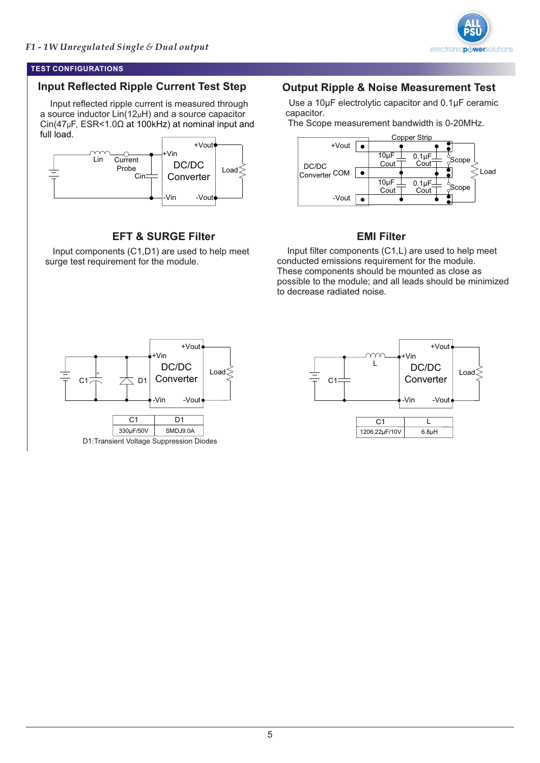

#### **TEST CONFIGURATIONS**

# **Input Reflected Ripple Current Test Step**

 Input reflected ripple current is measured through a source inductor  $Lin(12\mu H)$  and a source capacitor  $\text{Cin}(47 \mu \text{F}, \text{ESR} < 1.0 \Omega \text{ at } 100 \text{kHz})$  at nominal input and full load.



# **EFT & SURGE Filter**

 Input components (C1,D1) are used to help meet surge test requirement for the module.

# **Output Ripple & Noise Measurement Test**

 Use a 10μF electrolytic capacitor and 0.1μF ceramic capacitor.

The Scope measurement bandwidth is 0-20MHz.



# **EMI Filter**

 Input filter components (C1,L) are used to help meet conducted emissions requirement for the module. These components should be mounted as close as possible to the module; and all leads should be minimized to decrease radiated noise.